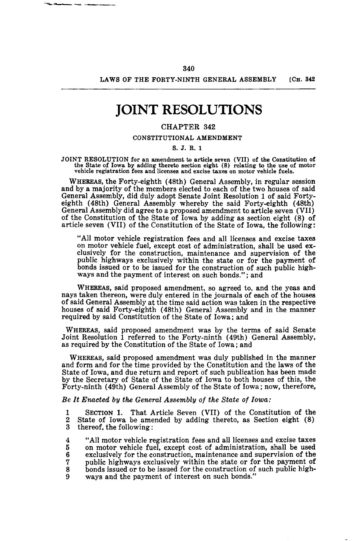## LAWS OF THE FORTY-NINTH GENERAL ASSEMBLY [CH. 342]

# **JOINT RESOLUTIONS**

## CHAPTER 842

#### CONSTITUTIONAL AMENDMENT

#### S. J. R. 1

JOINT RESOLUTION for an amendment to article seven (VII) of the Constitution of the State of Iowa by adding thereto section eight (8) relating to the use of motor vehicle registration fees and licenses and excise taxes on motor vehicle fuels.

WHEREAS, the Forty-eighth (48th) General Assembly, in regular session and by a majority of the members elected to each of the two houses of said General Assembly, did duly adopt Senate Joint Resolution 1 of said Fortyeighth (48th) General Assembly whereby the said Forty-eighth (48th) General Assembly did agree to a proposed amendment to article seven (VII) of the Constitution of the State of Iowa by adding as section eight (8) of article seven (VII) of the Constitution of the State of Iowa, the following:

"All motor vehicle registration fees and all licenses and excise taxes on motor vehicle fuel, except cost of administration, shall be used exclusively for the construction, maintenance and supervision of the public highways exclusively within the state or for the payment of bonds issued or to be issued for the construction of such public highways and the payment of interest on such bonds."; and

WHEREAS, said proposed amendment, so agreed to, and the yeas and nays taken thereon, were duly entered in the journals of each of the houses of said General Assembly at the time said action was taken in the respective houses of said Forty-eighth (48th) General Assembly and in the manner required by said Constitution of the State of Iowa: and

WHEREAS, said proposed amendment was by the terms of said Senate Joint Resolution 1 referred to the Forty-ninth (49th) General Assembly, as required by the Constitution of the State of Iowa; and

WHEREAS, said proposed amendment was duly published in the manner and form and for the time provided by the Constitution and the laws of the State of Iowa, and due return and report of such publication has been made by the Secretary of State of the State of Iowa to both houses of this, the Forty-ninth (49th) General Assembly of the State of Iowa; now, therefore,

*Be It Enacted by the Gemral Assembly of the State of Iowa:* 

1 SECTION 1. That Article Seven (VII) of the Constitution of the 2 State of Iowa be amended by adding thereto, as Section eight  $(8)$ <br>3 thereof, the following: thereof, the following:

4 "All motor vehicle registration fees and all licenses and excise taxes<br>5 on motor vehicle fuel, except cost of administration, shall be used 5 on motor vehicle fuel, except cost of administration, shall be used<br>6 exclusively for the construction, maintenance and supervision of the 6 exclusively for the construction, maintenance and supervision of the 7 public highways exclusively within the state or for the payment of 8 bonds issued or to be issued for the construction of such public high-9 ways and the payment of interest on such bonds."

---------